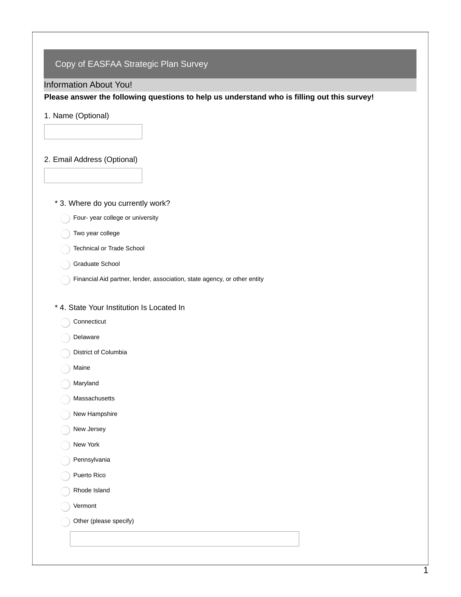# Copy of EASFAA Strategic Plan Survey

### Information About You!

**Please answer the following questions to help us understand who is filling out this survey!**

### 1. Name (Optional)

## 2. Email Address (Optional)

### \* 3. Where do you currently work?

Four- year college or university

### Two year college

- Technical or Trade School
- Graduate School
- Financial Aid partner, lender, association, state agency, or other entity

### \* 4. State Your Institution Is Located In

- Connecticut
- Delaware
- District of Columbia
- Maine
- Maryland
- Massachusetts
- New Hampshire
- New Jersey
- New York
- Pennsylvania
- Puerto Rico
- Rhode Island
- Vermont
- Other (please specify)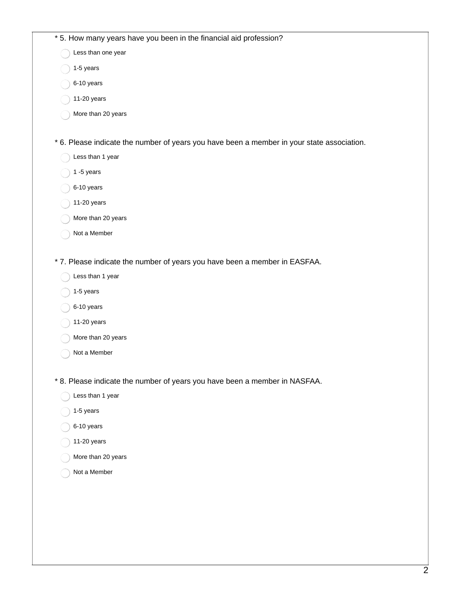| * 5. How many years have you been in the financial aid profession?                         |  |
|--------------------------------------------------------------------------------------------|--|
| Less than one year                                                                         |  |
| 1-5 years                                                                                  |  |
| 6-10 years                                                                                 |  |
| 11-20 years                                                                                |  |
| More than 20 years                                                                         |  |
|                                                                                            |  |
| * 6. Please indicate the number of years you have been a member in your state association. |  |
| Less than 1 year                                                                           |  |
| $1 - 5$ years                                                                              |  |
| 6-10 years                                                                                 |  |
| 11-20 years                                                                                |  |
| More than 20 years                                                                         |  |
| Not a Member                                                                               |  |
|                                                                                            |  |
| * 7. Please indicate the number of years you have been a member in EASFAA.                 |  |
| Less than 1 year                                                                           |  |
| 1-5 years                                                                                  |  |
| 6-10 years                                                                                 |  |
| 11-20 years                                                                                |  |
| More than 20 years                                                                         |  |
| Not a Member                                                                               |  |
|                                                                                            |  |
| * 8. Please indicate the number of years you have been a member in NASFAA.                 |  |
| Less than 1 year                                                                           |  |
| 1-5 years                                                                                  |  |
| 6-10 years                                                                                 |  |
| 11-20 years                                                                                |  |
| More than 20 years                                                                         |  |
| Not a Member                                                                               |  |
|                                                                                            |  |
|                                                                                            |  |
|                                                                                            |  |
|                                                                                            |  |
|                                                                                            |  |
|                                                                                            |  |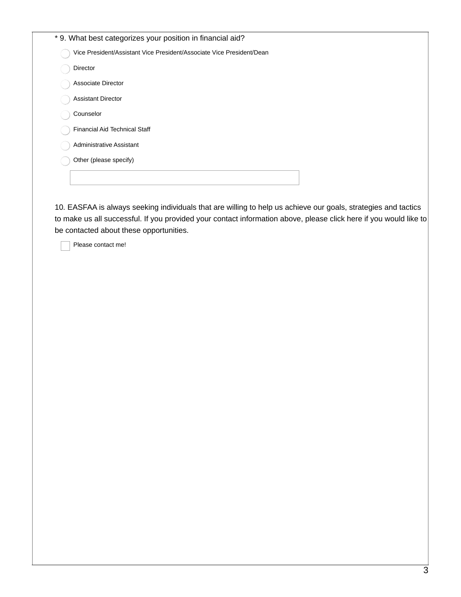| * 9. What best categorizes your position in financial aid?            |
|-----------------------------------------------------------------------|
| Vice President/Assistant Vice President/Associate Vice President/Dean |
| <b>Director</b>                                                       |
| <b>Associate Director</b>                                             |
| <b>Assistant Director</b>                                             |
| Counselor                                                             |
| Financial Aid Technical Staff                                         |
| Administrative Assistant                                              |
| Other (please specify)                                                |
|                                                                       |
|                                                                       |

10. EASFAA is always seeking individuals that are willing to help us achieve our goals, strategies and tactics to make us all successful. If you provided your contact information above, please click here if you would like to be contacted about these opportunities.

Please contact me!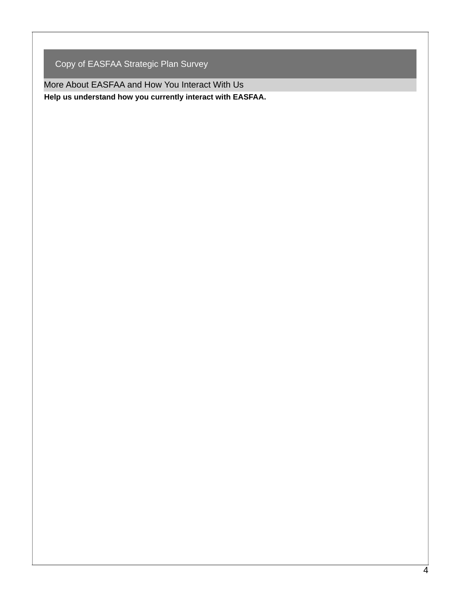Copy of EASFAA Strategic Plan Survey

More About EASFAA and How You Interact With Us **Help us understand how you currently interact with EASFAA.**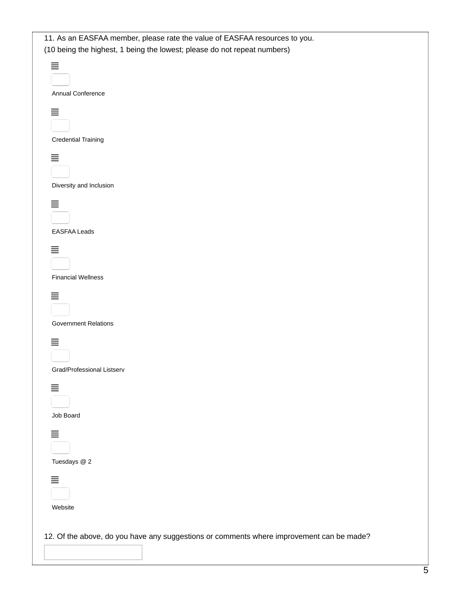| 11. As an EASFAA member, please rate the value of EASFAA resources to you.<br>(10 being the highest, 1 being the lowest; please do not repeat numbers) |
|--------------------------------------------------------------------------------------------------------------------------------------------------------|
| $\equiv$<br>Annual Conference                                                                                                                          |
| 亖<br><b>Credential Training</b>                                                                                                                        |
| $\equiv$<br>Diversity and Inclusion                                                                                                                    |
| $\equiv$<br><b>EASFAA Leads</b>                                                                                                                        |
| 亖<br><b>Financial Wellness</b>                                                                                                                         |
| 亖<br><b>Government Relations</b>                                                                                                                       |
| 亖<br>Grad/Professional Listserv                                                                                                                        |
| 亖<br>Job Board                                                                                                                                         |
| 亖<br>Tuesdays @ 2                                                                                                                                      |
| 亖<br>Website                                                                                                                                           |
| 12. Of the above, do you have any suggestions or comments where improvement can be made?                                                               |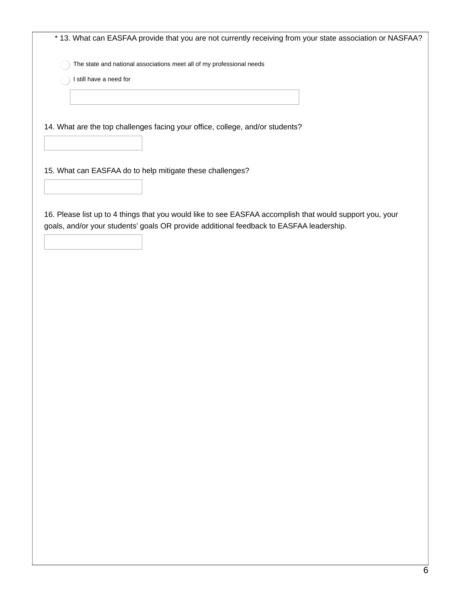| * 13. What can EASFAA provide that you are not currently receiving from your state association or NASFAA?                                                                                           |
|-----------------------------------------------------------------------------------------------------------------------------------------------------------------------------------------------------|
| The state and national associations meet all of my professional needs                                                                                                                               |
| I still have a need for                                                                                                                                                                             |
|                                                                                                                                                                                                     |
|                                                                                                                                                                                                     |
| 14. What are the top challenges facing your office, college, and/or students?                                                                                                                       |
|                                                                                                                                                                                                     |
|                                                                                                                                                                                                     |
| 15. What can EASFAA do to help mitigate these challenges?                                                                                                                                           |
|                                                                                                                                                                                                     |
|                                                                                                                                                                                                     |
| 16. Please list up to 4 things that you would like to see EASFAA accomplish that would support you, your<br>goals, and/or your students' goals OR provide additional feedback to EASFAA leadership. |
|                                                                                                                                                                                                     |
|                                                                                                                                                                                                     |
|                                                                                                                                                                                                     |
|                                                                                                                                                                                                     |
|                                                                                                                                                                                                     |
|                                                                                                                                                                                                     |
|                                                                                                                                                                                                     |
|                                                                                                                                                                                                     |
|                                                                                                                                                                                                     |
|                                                                                                                                                                                                     |
|                                                                                                                                                                                                     |
|                                                                                                                                                                                                     |
|                                                                                                                                                                                                     |
|                                                                                                                                                                                                     |
|                                                                                                                                                                                                     |
|                                                                                                                                                                                                     |
|                                                                                                                                                                                                     |
|                                                                                                                                                                                                     |
|                                                                                                                                                                                                     |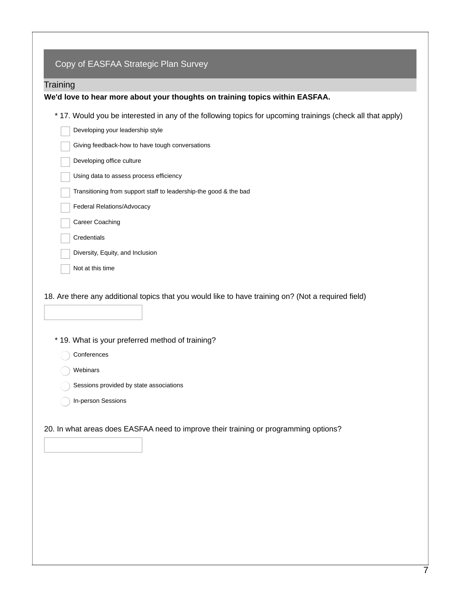|                           | We'd love to hear more about your thoughts on training topics within EASFAA.                               |
|---------------------------|------------------------------------------------------------------------------------------------------------|
|                           | * 17. Would you be interested in any of the following topics for upcoming trainings (check all that apply) |
|                           | Developing your leadership style                                                                           |
| Developing office culture | Giving feedback-how to have tough conversations                                                            |
|                           |                                                                                                            |
|                           | Using data to assess process efficiency                                                                    |
|                           | Transitioning from support staff to leadership-the good & the bad                                          |
| Career Coaching           | Federal Relations/Advocacy                                                                                 |
| Credentials               |                                                                                                            |
|                           | Diversity, Equity, and Inclusion                                                                           |
| Not at this time          |                                                                                                            |
|                           |                                                                                                            |
|                           | 18. Are there any additional topics that you would like to have training on? (Not a required field)        |
|                           | * 19. What is your preferred method of training?                                                           |
| Conferences               |                                                                                                            |
|                           |                                                                                                            |
| Webinars                  |                                                                                                            |
|                           |                                                                                                            |
| In-person Sessions        | Sessions provided by state associations                                                                    |
|                           |                                                                                                            |
|                           |                                                                                                            |
|                           | 20. In what areas does EASFAA need to improve their training or programming options?                       |
|                           |                                                                                                            |
|                           |                                                                                                            |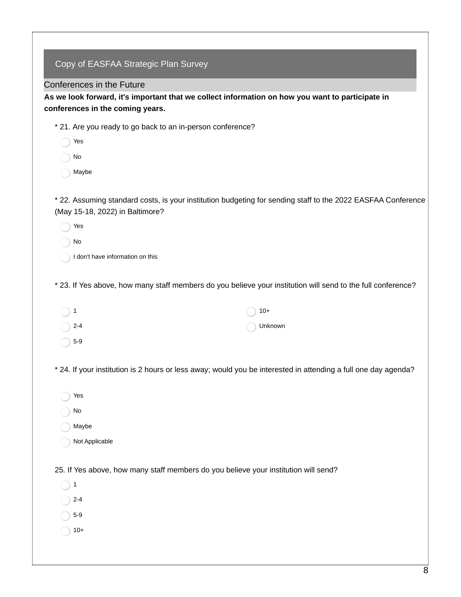| Copy of EASFAA Strategic Plan Survey                       |                                                                                                                |
|------------------------------------------------------------|----------------------------------------------------------------------------------------------------------------|
| Conferences in the Future                                  |                                                                                                                |
|                                                            | As we look forward, it's important that we collect information on how you want to participate in               |
| conferences in the coming years.                           |                                                                                                                |
| * 21. Are you ready to go back to an in-person conference? |                                                                                                                |
| Yes                                                        |                                                                                                                |
| No                                                         |                                                                                                                |
| Maybe                                                      |                                                                                                                |
| (May 15-18, 2022) in Baltimore?                            | * 22. Assuming standard costs, is your institution budgeting for sending staff to the 2022 EASFAA Conference   |
| Yes                                                        |                                                                                                                |
| No                                                         |                                                                                                                |
| I don't have information on this                           |                                                                                                                |
|                                                            | * 23. If Yes above, how many staff members do you believe your institution will send to the full conference?   |
| 1                                                          | $10+$                                                                                                          |
| $2 - 4$                                                    | Unknown                                                                                                        |
| $5-9$                                                      |                                                                                                                |
|                                                            | * 24. If your institution is 2 hours or less away; would you be interested in attending a full one day agenda? |
| Yes                                                        |                                                                                                                |
| No                                                         |                                                                                                                |
| Maybe                                                      |                                                                                                                |
| Not Applicable                                             |                                                                                                                |
|                                                            | 25. If Yes above, how many staff members do you believe your institution will send?                            |
| 1                                                          |                                                                                                                |
| $2 - 4$                                                    |                                                                                                                |
| $5-9$                                                      |                                                                                                                |
| $10+$                                                      |                                                                                                                |
|                                                            |                                                                                                                |
|                                                            |                                                                                                                |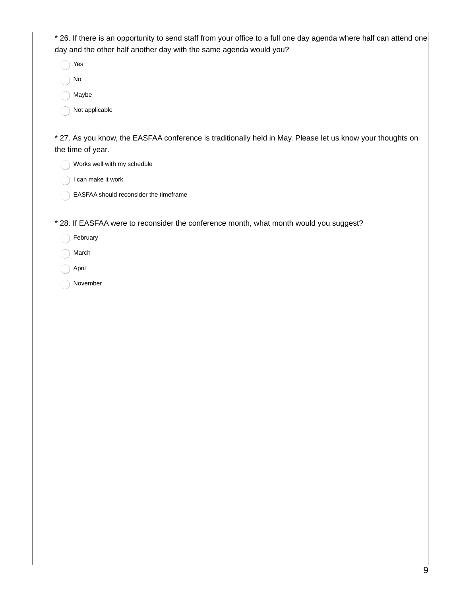\* 26. If there is an opportunity to send staff from your office to a full one day agenda where half can attend one day and the other half another day with the same agenda would you?

Yes

No

Maybe

Not applicable

\* 27. As you know, the EASFAA conference is traditionally held in May. Please let us know your thoughts on the time of year.

Works well with my schedule

I can make it work

EASFAA should reconsider the timeframe

\* 28. If EASFAA were to reconsider the conference month, what month would you suggest?

February

March

April

November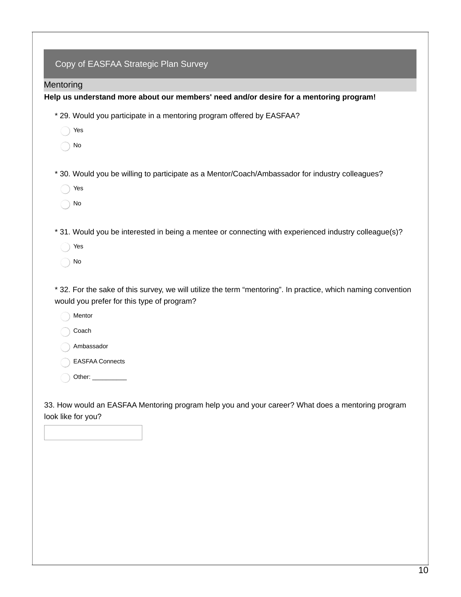| Mentoring |                                                                                                                                                             |
|-----------|-------------------------------------------------------------------------------------------------------------------------------------------------------------|
|           | Help us understand more about our members' need and/or desire for a mentoring program!                                                                      |
|           | * 29. Would you participate in a mentoring program offered by EASFAA?                                                                                       |
|           | Yes                                                                                                                                                         |
|           | No                                                                                                                                                          |
|           | * 30. Would you be willing to participate as a Mentor/Coach/Ambassador for industry colleagues?                                                             |
|           | Yes                                                                                                                                                         |
|           | No                                                                                                                                                          |
|           | * 31. Would you be interested in being a mentee or connecting with experienced industry colleague(s)?                                                       |
|           | Yes                                                                                                                                                         |
|           | No                                                                                                                                                          |
|           | * 32. For the sake of this survey, we will utilize the term "mentoring". In practice, which naming convention<br>would you prefer for this type of program? |
|           | Mentor                                                                                                                                                      |
|           | Coach                                                                                                                                                       |
|           | Ambassador                                                                                                                                                  |
|           | <b>EASFAA Connects</b>                                                                                                                                      |
|           | Other: ___________                                                                                                                                          |